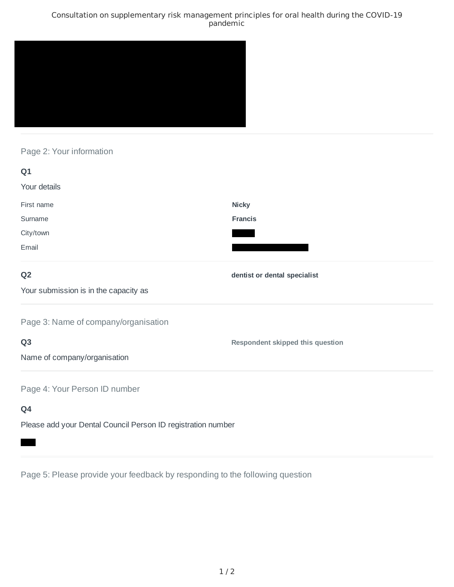### Consultation on supplementary risk management principles for oral health during the COVID-19 pandemic



# Page 2: Your information

| Q1                                                           |                                         |
|--------------------------------------------------------------|-----------------------------------------|
| Your details                                                 |                                         |
| First name                                                   | <b>Nicky</b>                            |
| Surname                                                      | <b>Francis</b>                          |
| City/town                                                    |                                         |
| Email                                                        |                                         |
| Q <sub>2</sub>                                               | dentist or dental specialist            |
| Your submission is in the capacity as                        |                                         |
| Page 3: Name of company/organisation                         |                                         |
| Q <sub>3</sub>                                               | <b>Respondent skipped this question</b> |
| Name of company/organisation                                 |                                         |
| Page 4: Your Person ID number                                |                                         |
| Q4                                                           |                                         |
| Please add your Dental Council Person ID registration number |                                         |

Page 5: Please provide your feedback by responding to the following question